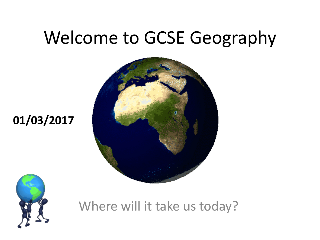### Welcome to GCSE Geography





**01/03/2017**

Where will it take us today?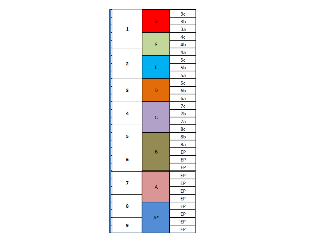| 1 | Ġ              | 3c |
|---|----------------|----|
|   |                | 3b |
|   |                | За |
|   | F              | 4c |
|   |                | 4b |
| 2 |                | 4a |
|   | Ė              | 5c |
|   |                | 5b |
|   |                | 5a |
| 3 | D              | 5c |
|   |                | 6b |
|   |                | 6a |
| 4 | C              | 7c |
|   |                | 7b |
|   |                | 7a |
| 5 |                | 8c |
|   | B              | 8b |
|   |                | 8a |
| 6 |                | EP |
|   |                | EP |
|   |                | EP |
| 7 | A              | EP |
|   |                | EP |
|   |                | EP |
| 8 |                | ЕP |
|   | A <sup>*</sup> | ЕP |
|   |                | EP |
| 9 |                | ЕP |
|   |                | EP |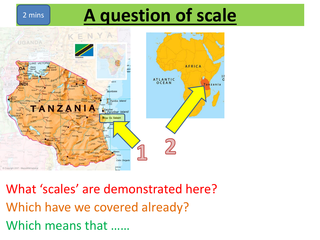### 2 mins **A question of scale**



What 'scales' are demonstrated here? Which have we covered already? Which means that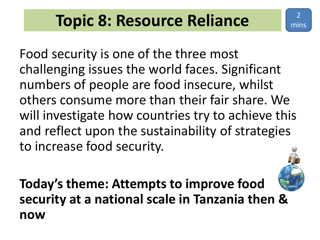2

mins

Food security is one of the three most challenging issues the world faces. Significant numbers of people are food insecure, whilst others consume more than their fair share. We will investigate how countries try to achieve this and reflect upon the sustainability of strategies to increase food security.

**Today's theme: Attempts to improve food security at a national scale in Tanzania then & now**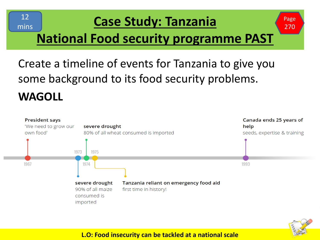

#### **Case Study: Tanzania**

### **National Food security programme PAST**

Create a timeline of events for Tanzania to give you some background to its food security problems. **WAGOLL**





Page 270

#### **L.O: Food insecurity can be tackled at a national scale**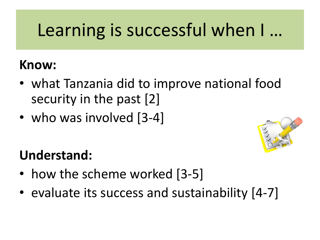## Learning is successful when I …

#### **Know:**

- what Tanzania did to improve national food security in the past [2]
- who was involved [3-4]



### **Understand:**

- how the scheme worked [3-5]
- evaluate its success and sustainability [4-7]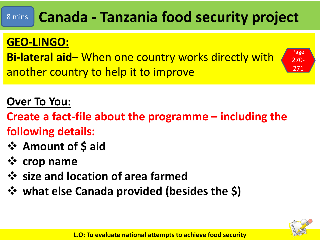#### **Canada - Tanzania food security project** 8 mins

#### **GEO-LINGO:**

**Bi-lateral aid**– When one country works directly with another country to help it to improve



**Create a fact-file about the programme – including the following details:** 

- ❖ **Amount of \$ aid**
- ❖ **crop name**
- ❖ **size and location of area farmed**
- ❖ **what else Canada provided (besides the \$)**



Page 270- 271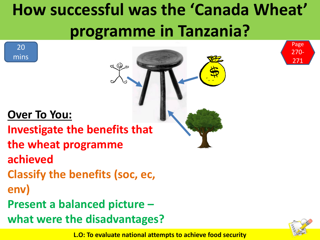## **How successful was the 'Canada Wheat' programme in Tanzania?**

#### **Over To You:**

**Investigate the benefits that** 

- **the wheat programme**
- **achieved**
- **Classify the benefits (soc, ec,**
- **env)**

20

mins

**Present a balanced picture –**

**what were the disadvantages?**



Page 270-

271

**L.O: To evaluate national attempts to achieve food security**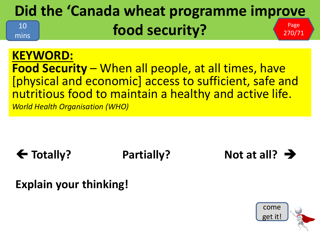#### **Did the 'Canada wheat programme improve food security?** Page  $270/71$ 10 mins

#### **KEYWORD: Food Security** – When all people, at all times, have [physical and economic] access to sufficient, safe and nutritious food to maintain a healthy and active life. *World Health Organisation (WHO)*

### **← Totally?** Partially? Not at all? →

#### **Explain your thinking!**

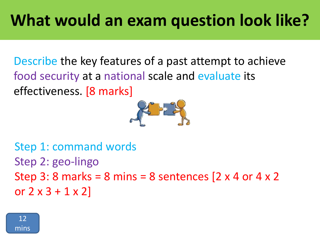Describe the key features of a past attempt to achieve food security at a national scale and evaluate its effectiveness. [8 marks]



```
Step 1: command words
Step 2: geo-lingo
Step 3: 8 marks = 8 mins = 8 sentences [2 \times 4 or 4 \times 2or 2 \times 3 + 1 \times 2
```
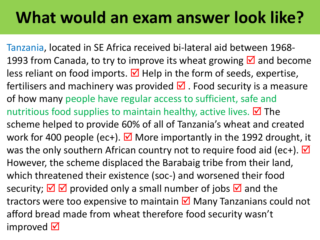### **What would an exam answer look like?**

Tanzania, located in SE Africa received bi-lateral aid between 1968- 1993 from Canada, to try to improve its wheat growing  $\boxtimes$  and become less reliant on food imports.  $\blacksquare$  Help in the form of seeds, expertise, fertilisers and machinery was provided  $\blacksquare$ . Food security is a measure of how many people have regular access to sufficient, safe and nutritious food supplies to maintain healthy, active lives.  $\boxtimes$  The scheme helped to provide 60% of all of Tanzania's wheat and created work for 400 people (ec+).  $\blacksquare$  More importantly in the 1992 drought, it was the only southern African country not to require food aid (ec+).  $\blacksquare$ However, the scheme displaced the Barabaig tribe from their land, which threatened their existence (soc-) and worsened their food security;  $\overline{\boxtimes}$   $\overline{\boxtimes}$  provided only a small number of jobs  $\overline{\boxtimes}$  and the tractors were too expensive to maintain  $\boxtimes$  Many Tanzanians could not afford bread made from wheat therefore food security wasn't improved  $\nabla$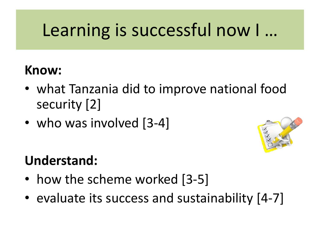## Learning is successful now I …

#### **Know:**

- what Tanzania did to improve national food security [2]
- who was involved [3-4]



### **Understand:**

- how the scheme worked [3-5]
- evaluate its success and sustainability [4-7]